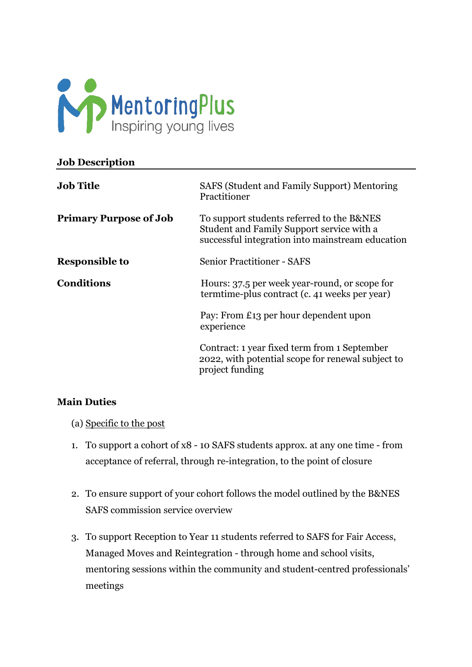

| <b>Job Description</b>        |                                                                                                                                            |
|-------------------------------|--------------------------------------------------------------------------------------------------------------------------------------------|
| <b>Job Title</b>              | SAFS (Student and Family Support) Mentoring<br>Practitioner                                                                                |
| <b>Primary Purpose of Job</b> | To support students referred to the B&NES<br>Student and Family Support service with a<br>successful integration into mainstream education |
| <b>Responsible to</b>         | <b>Senior Practitioner - SAFS</b>                                                                                                          |
| <b>Conditions</b>             | Hours: 37.5 per week year-round, or scope for<br>termtime-plus contract (c. 41 weeks per year)                                             |
|                               | Pay: From £13 per hour dependent upon<br>experience                                                                                        |
|                               | Contract: 1 year fixed term from 1 September<br>2022, with potential scope for renewal subject to<br>project funding                       |

#### **Main Duties**

- (a) Specific to the post
- 1. To support a cohort of x8 10 SAFS students approx. at any one time from acceptance of referral, through re-integration, to the point of closure
- 2. To ensure support of your cohort follows the model outlined by the B&NES SAFS commission service overview
- 3. To support Reception to Year 11 students referred to SAFS for Fair Access, Managed Moves and Reintegration - through home and school visits, mentoring sessions within the community and student-centred professionals' meetings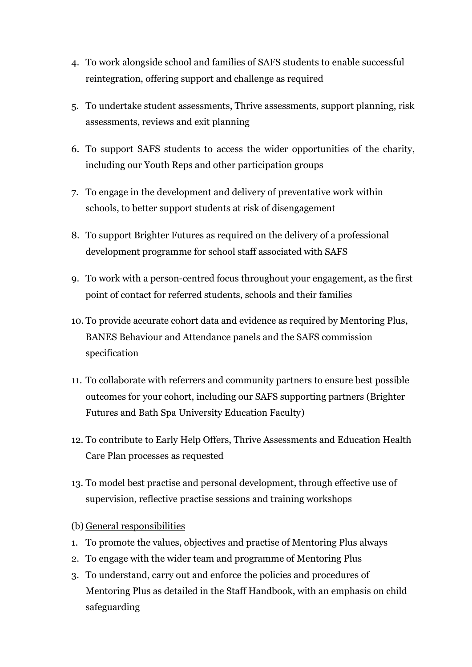- 4. To work alongside school and families of SAFS students to enable successful reintegration, offering support and challenge as required
- 5. To undertake student assessments, Thrive assessments, support planning, risk assessments, reviews and exit planning
- 6. To support SAFS students to access the wider opportunities of the charity, including our Youth Reps and other participation groups
- 7. To engage in the development and delivery of preventative work within schools, to better support students at risk of disengagement
- 8. To support Brighter Futures as required on the delivery of a professional development programme for school staff associated with SAFS
- 9. To work with a person-centred focus throughout your engagement, as the first point of contact for referred students, schools and their families
- 10. To provide accurate cohort data and evidence as required by Mentoring Plus, BANES Behaviour and Attendance panels and the SAFS commission specification
- 11. To collaborate with referrers and community partners to ensure best possible outcomes for your cohort, including our SAFS supporting partners (Brighter Futures and Bath Spa University Education Faculty)
- 12. To contribute to Early Help Offers, Thrive Assessments and Education Health Care Plan processes as requested
- 13. To model best practise and personal development, through effective use of supervision, reflective practise sessions and training workshops
- (b) General responsibilities
- 1. To promote the values, objectives and practise of Mentoring Plus always
- 2. To engage with the wider team and programme of Mentoring Plus
- 3. To understand, carry out and enforce the policies and procedures of Mentoring Plus as detailed in the Staff Handbook, with an emphasis on child safeguarding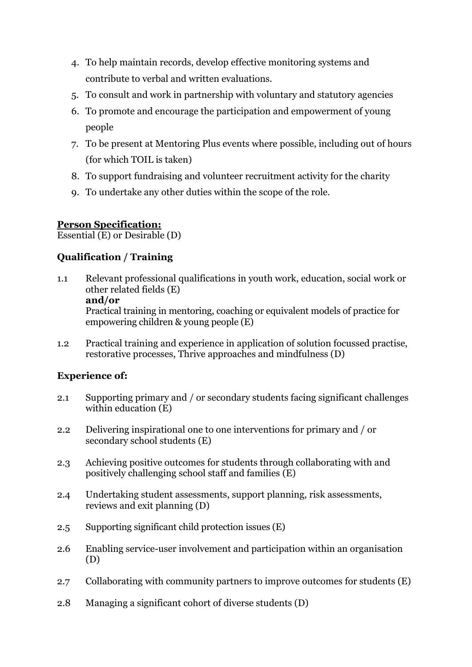- 4. To help maintain records, develop effective monitoring systems and contribute to verbal and written evaluations.
- 5. To consult and work in partnership with voluntary and statutory agencies
- 6. To promote and encourage the participation and empowerment of young people
- 7. To be present at Mentoring Plus events where possible, including out of hours (for which TOIL is taken)
- 8. To support fundraising and volunteer recruitment activity for the charity
- 9. To undertake any other duties within the scope of the role.

# **Person Specification:**

Essential (E) or Desirable (D)

# **Qualification / Training**

- 1.1 Relevant professional qualifications in youth work, education, social work or other related fields (E) **and/or** Practical training in mentoring, coaching or equivalent models of practice for empowering children & young people (E)
- 1.2 Practical training and experience in application of solution focussed practise, restorative processes, Thrive approaches and mindfulness (D)

## **Experience of:**

- 2.1 Supporting primary and / or secondary students facing significant challenges within education (E)
- 2.2 Delivering inspirational one to one interventions for primary and / or secondary school students (E)
- 2.3 Achieving positive outcomes for students through collaborating with and positively challenging school staff and families (E)
- 2.4 Undertaking student assessments, support planning, risk assessments, reviews and exit planning (D)
- 2.5 Supporting significant child protection issues (E)
- 2.6 Enabling service-user involvement and participation within an organisation (D)
- 2.7 Collaborating with community partners to improve outcomes for students (E)
- 2.8 Managing a significant cohort of diverse students (D)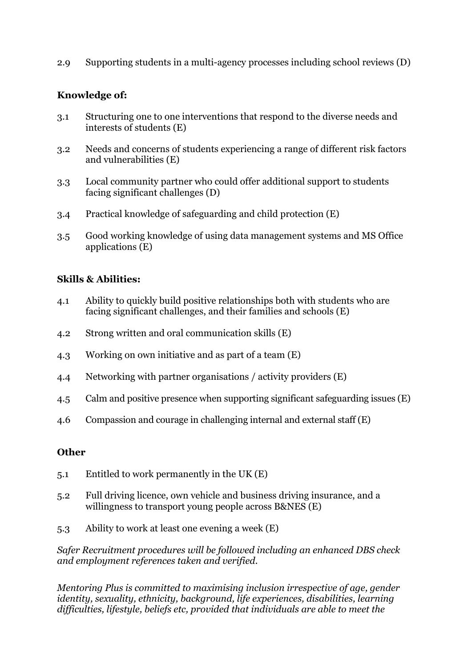2.9 Supporting students in a multi-agency processes including school reviews (D)

### **Knowledge of:**

- 3.1 Structuring one to one interventions that respond to the diverse needs and interests of students (E)
- 3.2 Needs and concerns of students experiencing a range of different risk factors and vulnerabilities (E)
- 3.3 Local community partner who could offer additional support to students facing significant challenges (D)
- 3.4 Practical knowledge of safeguarding and child protection (E)
- 3.5 Good working knowledge of using data management systems and MS Office applications (E)

### **Skills & Abilities:**

- 4.1 Ability to quickly build positive relationships both with students who are facing significant challenges, and their families and schools (E)
- 4.2 Strong written and oral communication skills (E)
- 4.3 Working on own initiative and as part of a team (E)
- 4.4 Networking with partner organisations / activity providers (E)
- 4.5 Calm and positive presence when supporting significant safeguarding issues (E)
- 4.6 Compassion and courage in challenging internal and external staff (E)

#### **Other**

- 5.1 Entitled to work permanently in the UK (E)
- 5.2 Full driving licence, own vehicle and business driving insurance, and a willingness to transport young people across B&NES (E)
- 5.3 Ability to work at least one evening a week (E)

*Safer Recruitment procedures will be followed including an enhanced DBS check and employment references taken and verified.*

*Mentoring Plus is committed to maximising inclusion irrespective of age, gender identity, sexuality, ethnicity, background, life experiences, disabilities, learning difficulties, lifestyle, beliefs etc, provided that individuals are able to meet the*